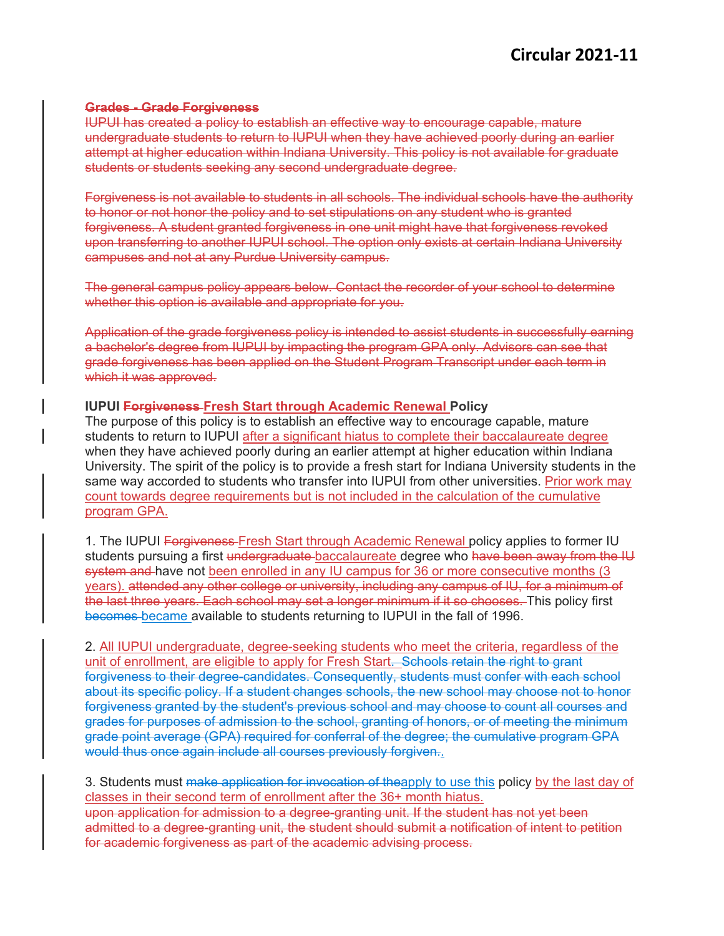## **Grades - Grade Forgiveness**

IUPUI has created a policy to establish an effective way to encourage capable, mature undergraduate students to return to IUPUI when they have achieved poorly during an earlier attempt at higher education within Indiana University. This policy is not available for graduate students or students seeking any second undergraduate degree.

Forgiveness is not available to students in all schools. The individual schools have the authority to honor or not honor the policy and to set stipulations on any student who is granted forgiveness. A student granted forgiveness in one unit might have that forgiveness revoked upon transferring to another IUPUI school. The option only exists at certain Indiana University campuses and not at any Purdue University campus.

The general campus policy appears below. Contact the recorder of your school to determine whether this option is available and appropriate for you.

Application of the grade forgiveness policy is intended to assist students in successfully earning a bachelor's degree from IUPUI by impacting the program GPA only. Advisors can see that grade forgiveness has been applied on the Student Program Transcript under each term in which it was approved.

## **IUPUI Forgiveness Fresh Start through Academic Renewal Policy**

The purpose of this policy is to establish an effective way to encourage capable, mature students to return to IUPUI after a significant hiatus to complete their baccalaureate degree when they have achieved poorly during an earlier attempt at higher education within Indiana University. The spirit of the policy is to provide a fresh start for Indiana University students in the same way accorded to students who transfer into IUPUI from other universities. Prior work may count towards degree requirements but is not included in the calculation of the cumulative program GPA.

1. The IUPUI Forgiveness Fresh Start through Academic Renewal policy applies to former IU students pursuing a first undergraduate-baccalaureate degree who have been away from the IU system and have not been enrolled in any IU campus for 36 or more consecutive months (3) years). attended any other college or university, including any campus of IU, for a minimum of the last three years. Each school may set a longer minimum if it so chooses. This policy first becomes became available to students returning to IUPUI in the fall of 1996.

2. All IUPUI undergraduate, degree-seeking students who meet the criteria, regardless of the unit of enrollment, are eligible to apply for Fresh Start. Schools retain the right to grant forgiveness to their degree-candidates. Consequently, students must confer with each school about its specific policy. If a student changes schools, the new school may choose not to honor forgiveness granted by the student's previous school and may choose to count all courses and grades for purposes of admission to the school, granting of honors, or of meeting the minimum grade point average (GPA) required for conferral of the degree; the cumulative program GPA would thus once again include all courses previously forgiven..

3. Students must make application for invocation of theapply to use this policy by the last day of classes in their second term of enrollment after the 36+ month hiatus. upon application for admission to a degree-granting unit. If the student has not yet been admitted to a degree-granting unit, the student should submit a notification of intent to petition for academic forgiveness as part of the academic advising process.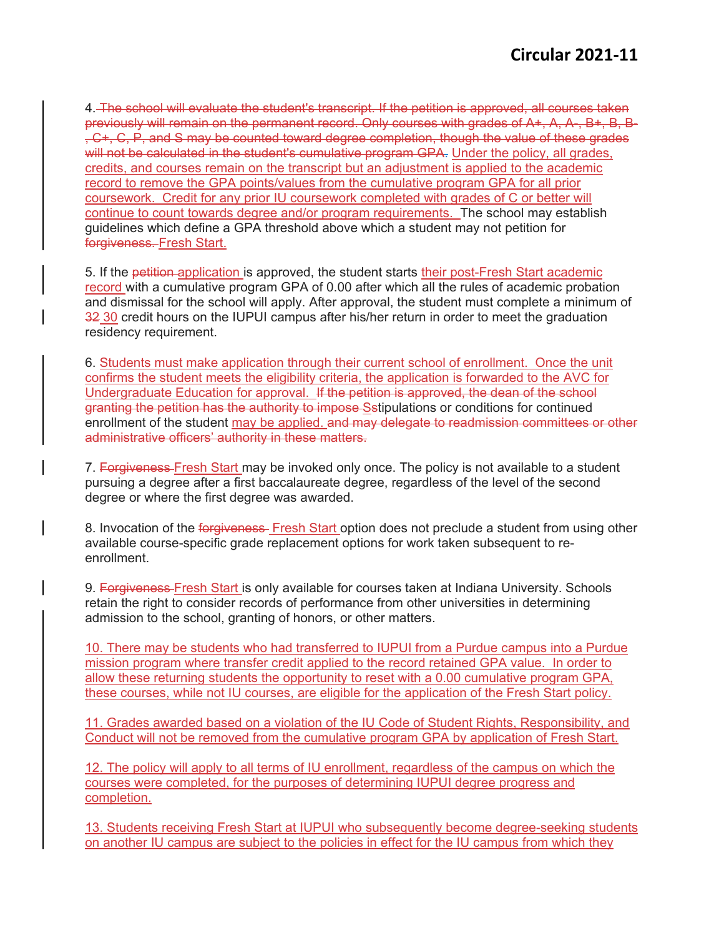4. The school will evaluate the student's transcript. If the petition is approved, all courses taken previously will remain on the permanent record. Only courses with grades of A+, A, A-, B+, B, B- , C+, C, P, and S may be counted toward degree completion, though the value of these grades will not be calculated in the student's cumulative program GPA. Under the policy, all grades, credits, and courses remain on the transcript but an adjustment is applied to the academic record to remove the GPA points/values from the cumulative program GPA for all prior coursework. Credit for any prior IU coursework completed with grades of C or better will continue to count towards degree and/or program requirements. The school may establish guidelines which define a GPA threshold above which a student may not petition for forgiveness. Fresh Start.

5. If the petition-application is approved, the student starts their post-Fresh Start academic record with a cumulative program GPA of 0.00 after which all the rules of academic probation and dismissal for the school will apply. After approval, the student must complete a minimum of 32 30 credit hours on the IUPUI campus after his/her return in order to meet the graduation residency requirement.

6. Students must make application through their current school of enrollment. Once the unit confirms the student meets the eligibility criteria, the application is forwarded to the AVC for Undergraduate Education for approval. If the petition is approved, the dean of the school granting the petition has the authority to impose Sstipulations or conditions for continued enrollment of the student may be applied. and may delegate to readmission committees or other administrative officers' authority in these matters.

7. Forgiveness-Fresh Start may be invoked only once. The policy is not available to a student pursuing a degree after a first baccalaureate degree, regardless of the level of the second degree or where the first degree was awarded.

8. Invocation of the forgiveness Fresh Start option does not preclude a student from using other available course-specific grade replacement options for work taken subsequent to reenrollment.

9. Forgiveness Fresh Start is only available for courses taken at Indiana University. Schools retain the right to consider records of performance from other universities in determining admission to the school, granting of honors, or other matters.

10. There may be students who had transferred to IUPUI from a Purdue campus into a Purdue mission program where transfer credit applied to the record retained GPA value. In order to allow these returning students the opportunity to reset with a 0.00 cumulative program GPA, these courses, while not IU courses, are eligible for the application of the Fresh Start policy.

11. Grades awarded based on a violation of the IU Code of Student Rights, Responsibility, and Conduct will not be removed from the cumulative program GPA by application of Fresh Start.

12. The policy will apply to all terms of IU enrollment, regardless of the campus on which the courses were completed, for the purposes of determining IUPUI degree progress and completion.

13. Students receiving Fresh Start at IUPUI who subsequently become degree-seeking students on another IU campus are subject to the policies in effect for the IU campus from which they